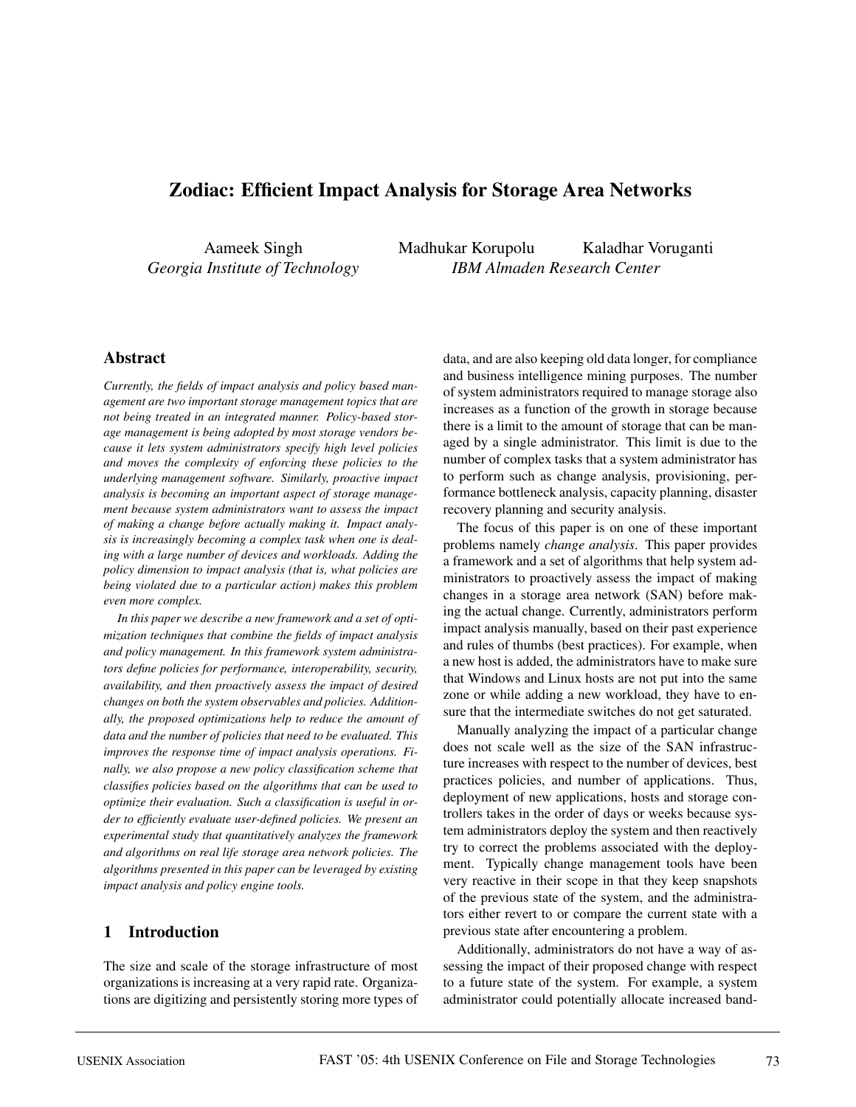# **Zodiac: Efficient Impact Analysis for Storage Area Networks**

Aameek Singh *Georgia Institute of Technology* Madhukar Korupolu Kaladhar Voruganti *IBM Almaden Research Center*

### **Abstract**

*Currently, the fields of impact analysis and policy based management are two important storage management topics that are not being treated in an integrated manner. Policy-based storage management is being adopted by most storage vendors because it lets system administrators specify high level policies and moves the complexity of enforcing these policies to the underlying management software. Similarly, proactive impact analysis is becoming an important aspect of storage management because system administrators want to assess the impact of making a change before actually making it. Impact analysis is increasingly becoming a complex task when one is dealing with a large number of devices and workloads. Adding the policy dimension to impact analysis (that is, what policies are being violated due to a particular action) makes this problem even more complex.*

*In this paper we describe a new framework and a set of optimization techniques that combine the fields of impact analysis and policy management. In this framework system administrators define policies for performance, interoperability, security, availability, and then proactively assess the impact of desired changes on both the system observables and policies. Additionally, the proposed optimizations help to reduce the amount of data and the number of policies that need to be evaluated. This improves the response time of impact analysis operations. Finally, we also propose a new policy classification scheme that classifies policies based on the algorithms that can be used to optimize their evaluation. Such a classification is useful in order to efficiently evaluate user-defined policies. We present an experimental study that quantitatively analyzes the framework and algorithms on real life storage area network policies. The algorithms presented in this paper can be leveraged by existing impact analysis and policy engine tools.*

### **1 Introduction**

The size and scale of the storage infrastructure of most organizations is increasing at a very rapid rate. Organizations are digitizing and persistently storing more types of data, and are also keeping old data longer, for compliance and business intelligence mining purposes. The number of system administrators required to manage storage also increases as a function of the growth in storage because there is a limit to the amount of storage that can be managed by a single administrator. This limit is due to the number of complex tasks that a system administrator has to perform such as change analysis, provisioning, performance bottleneck analysis, capacity planning, disaster recovery planning and security analysis.

The focus of this paper is on one of these important problems namely *change analysis*. This paper provides a framework and a set of algorithms that help system administrators to proactively assess the impact of making changes in a storage area network (SAN) before making the actual change. Currently, administrators perform impact analysis manually, based on their past experience and rules of thumbs (best practices). For example, when a new host is added, the administrators have to make sure that Windows and Linux hosts are not put into the same zone or while adding a new workload, they have to ensure that the intermediate switches do not get saturated.

Manually analyzing the impact of a particular change does not scale well as the size of the SAN infrastructure increases with respect to the number of devices, best practices policies, and number of applications. Thus, deployment of new applications, hosts and storage controllers takes in the order of days or weeks because system administrators deploy the system and then reactively try to correct the problems associated with the deployment. Typically change management tools have been very reactive in their scope in that they keep snapshots of the previous state of the system, and the administrators either revert to or compare the current state with a previous state after encountering a problem.

Additionally, administrators do not have a way of assessing the impact of their proposed change with respect to a future state of the system. For example, a system administrator could potentially allocate increased band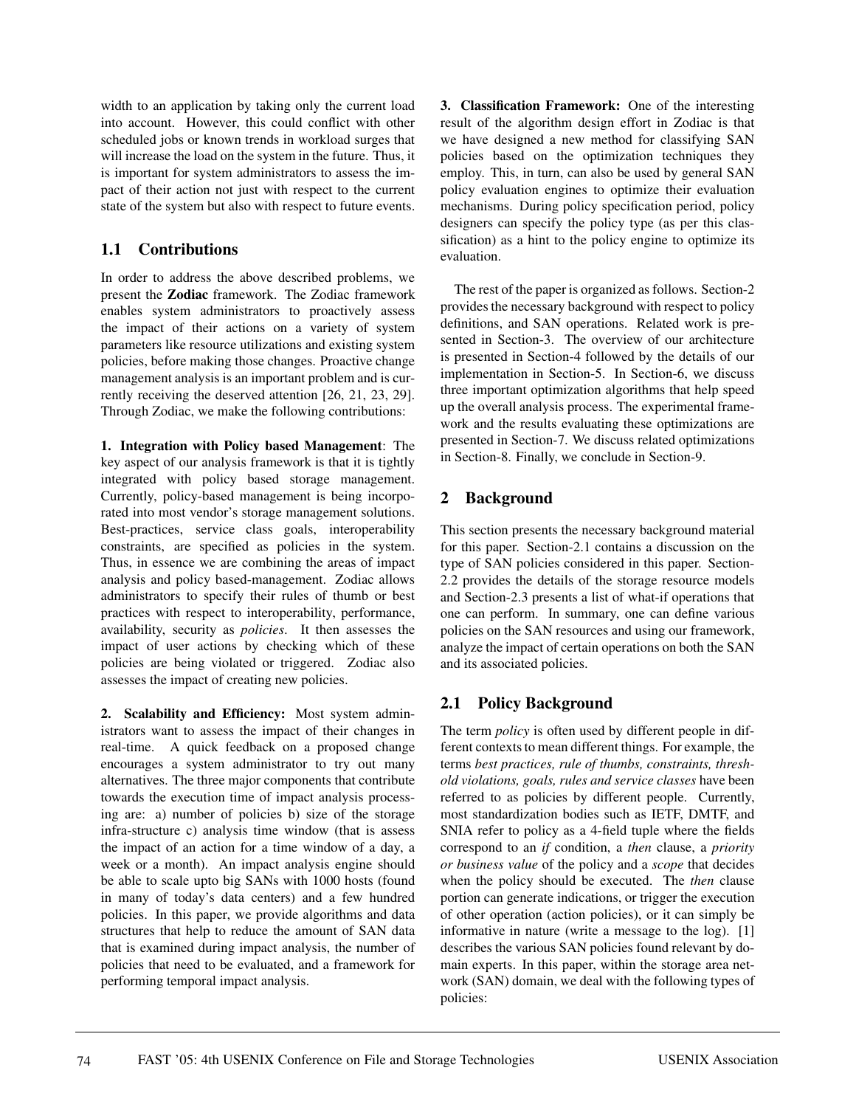width to an application by taking only the current load into account. However, this could conflict with other scheduled jobs or known trends in workload surges that will increase the load on the system in the future. Thus, it is important for system administrators to assess the impact of their action not just with respect to the current state of the system but also with respect to future events.

## **1.1 Contributions**

In order to address the above described problems, we present the **Zodiac** framework. The Zodiac framework enables system administrators to proactively assess the impact of their actions on a variety of system parameters like resource utilizations and existing system policies, before making those changes. Proactive change management analysis is an important problem and is currently receiving the deserved attention [26, 21, 23, 29]. Through Zodiac, we make the following contributions:

**1. Integration with Policy based Management**: The key aspect of our analysis framework is that it is tightly integrated with policy based storage management. Currently, policy-based management is being incorporated into most vendor's storage management solutions. Best-practices, service class goals, interoperability constraints, are specified as policies in the system. Thus, in essence we are combining the areas of impact analysis and policy based-management. Zodiac allows administrators to specify their rules of thumb or best practices with respect to interoperability, performance, availability, security as *policies*. It then assesses the impact of user actions by checking which of these policies are being violated or triggered. Zodiac also assesses the impact of creating new policies.

**2. Scalability and Efficiency:** Most system administrators want to assess the impact of their changes in real-time. A quick feedback on a proposed change encourages a system administrator to try out many alternatives. The three major components that contribute towards the execution time of impact analysis processing are: a) number of policies b) size of the storage infra-structure c) analysis time window (that is assess the impact of an action for a time window of a day, a week or a month). An impact analysis engine should be able to scale upto big SANs with 1000 hosts (found in many of today's data centers) and a few hundred policies. In this paper, we provide algorithms and data structures that help to reduce the amount of SAN data that is examined during impact analysis, the number of policies that need to be evaluated, and a framework for performing temporal impact analysis.

**3. Classification Framework:** One of the interesting result of the algorithm design effort in Zodiac is that we have designed a new method for classifying SAN policies based on the optimization techniques they employ. This, in turn, can also be used by general SAN policy evaluation engines to optimize their evaluation mechanisms. During policy specification period, policy designers can specify the policy type (as per this classification) as a hint to the policy engine to optimize its evaluation.

The rest of the paper is organized as follows. Section-2 provides the necessary background with respect to policy definitions, and SAN operations. Related work is presented in Section-3. The overview of our architecture is presented in Section-4 followed by the details of our implementation in Section-5. In Section-6, we discuss three important optimization algorithms that help speed up the overall analysis process. The experimental framework and the results evaluating these optimizations are presented in Section-7. We discuss related optimizations in Section-8. Finally, we conclude in Section-9.

# **2 Background**

This section presents the necessary background material for this paper. Section-2.1 contains a discussion on the type of SAN policies considered in this paper. Section-2.2 provides the details of the storage resource models and Section-2.3 presents a list of what-if operations that one can perform. In summary, one can define various policies on the SAN resources and using our framework, analyze the impact of certain operations on both the SAN and its associated policies.

# **2.1 Policy Background**

The term *policy* is often used by different people in different contexts to mean different things. For example, the terms *best practices, rule of thumbs, constraints, threshold violations, goals, rules and service classes* have been referred to as policies by different people. Currently, most standardization bodies such as IETF, DMTF, and SNIA refer to policy as a 4-field tuple where the fields correspond to an *if* condition, a *then* clause, a *priority or business value* of the policy and a *scope* that decides when the policy should be executed. The *then* clause portion can generate indications, or trigger the execution of other operation (action policies), or it can simply be informative in nature (write a message to the log). [1] describes the various SAN policies found relevant by domain experts. In this paper, within the storage area network (SAN) domain, we deal with the following types of policies: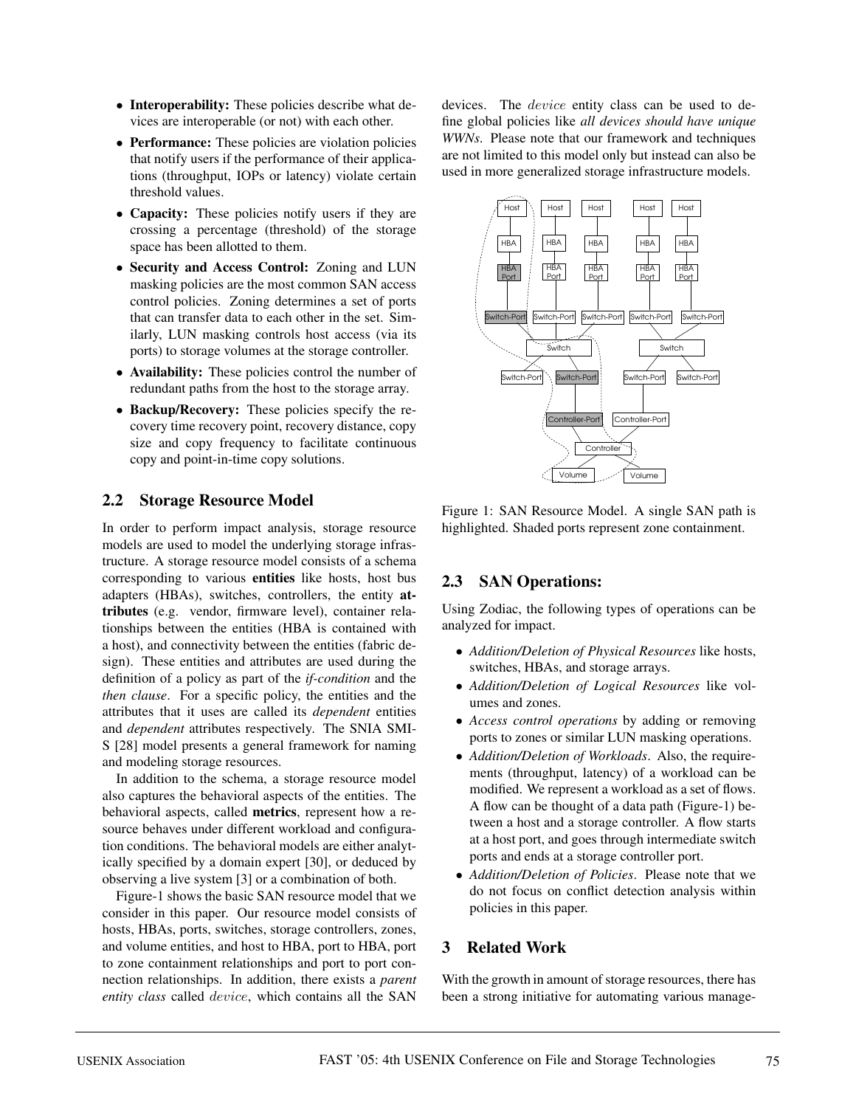- **Interoperability:** These policies describe what devices are interoperable (or not) with each other.
- **Performance:** These policies are violation policies that notify users if the performance of their applications (throughput, IOPs or latency) violate certain threshold values.
- **Capacity:** These policies notify users if they are crossing a percentage (threshold) of the storage space has been allotted to them.
- **Security and Access Control:** Zoning and LUN masking policies are the most common SAN access control policies. Zoning determines a set of ports that can transfer data to each other in the set. Similarly, LUN masking controls host access (via its ports) to storage volumes at the storage controller.
- **Availability:** These policies control the number of redundant paths from the host to the storage array.
- **Backup/Recovery:** These policies specify the recovery time recovery point, recovery distance, copy size and copy frequency to facilitate continuous copy and point-in-time copy solutions.

### **2.2 Storage Resource Model**

In order to perform impact analysis, storage resource models are used to model the underlying storage infrastructure. A storage resource model consists of a schema corresponding to various **entities** like hosts, host bus adapters (HBAs), switches, controllers, the entity **attributes** (e.g. vendor, firmware level), container relationships between the entities (HBA is contained with a host), and connectivity between the entities (fabric design). These entities and attributes are used during the definition of a policy as part of the *if-condition* and the *then clause*. For a specific policy, the entities and the attributes that it uses are called its *dependent* entities and *dependent* attributes respectively. The SNIA SMI-S [28] model presents a general framework for naming and modeling storage resources.

In addition to the schema, a storage resource model also captures the behavioral aspects of the entities. The behavioral aspects, called **metrics**, represent how a resource behaves under different workload and configuration conditions. The behavioral models are either analytically specified by a domain expert [30], or deduced by observing a live system [3] or a combination of both.

Figure-1 shows the basic SAN resource model that we consider in this paper. Our resource model consists of hosts, HBAs, ports, switches, storage controllers, zones, and volume entities, and host to HBA, port to HBA, port to zone containment relationships and port to port connection relationships. In addition, there exists a *parent entity class* called device, which contains all the SAN

devices. The *device* entity class can be used to define global policies like *all devices should have unique WWNs*. Please note that our framework and techniques are not limited to this model only but instead can also be used in more generalized storage infrastructure models.



Figure 1: SAN Resource Model. A single SAN path is highlighted. Shaded ports represent zone containment.

### **2.3 SAN Operations:**

Using Zodiac, the following types of operations can be analyzed for impact.

- *Addition/Deletion of Physical Resources* like hosts, switches, HBAs, and storage arrays.
- *Addition/Deletion of Logical Resources* like volumes and zones.
- *Access control operations* by adding or removing ports to zones or similar LUN masking operations.
- *Addition/Deletion of Workloads*. Also, the requirements (throughput, latency) of a workload can be modified. We represent a workload as a set of flows. A flow can be thought of a data path (Figure-1) between a host and a storage controller. A flow starts at a host port, and goes through intermediate switch ports and ends at a storage controller port.
- *Addition/Deletion of Policies*. Please note that we do not focus on conflict detection analysis within policies in this paper.

### **3 Related Work**

With the growth in amount of storage resources, there has been a strong initiative for automating various manage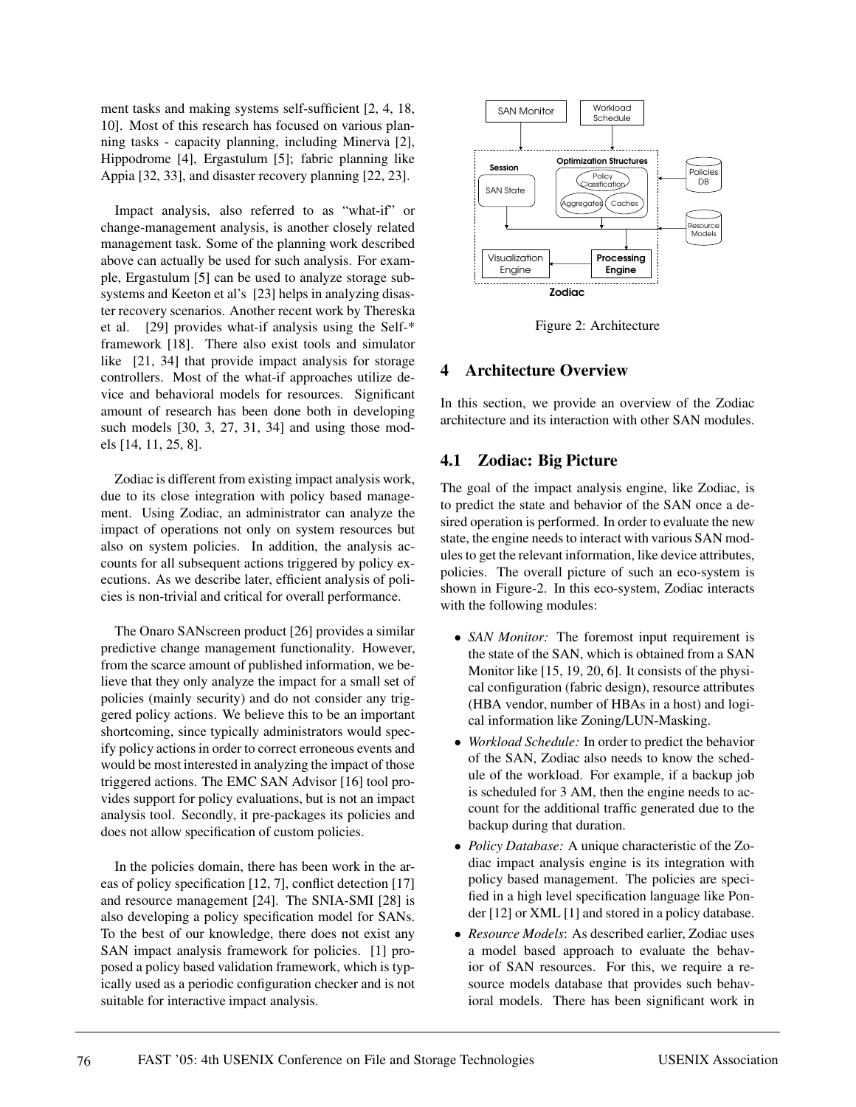ment tasks and making systems self-sufficient [2, 4, 18, 10]. Most of this research has focused on various planning tasks - capacity planning, including Minerva [2], Hippodrome [4], Ergastulum [5]; fabric planning like Appia [32, 33], and disaster recovery planning [22, 23].

Impact analysis, also referred to as "what-if" or change-management analysis, is another closely related management task. Some of the planning work described above can actually be used for such analysis. For example, Ergastulum [5] can be used to analyze storage subsystems and Keeton et al's [23] helps in analyzing disaster recovery scenarios. Another recent work by Thereska et al. [29] provides what-if analysis using the Self-\* framework [18]. There also exist tools and simulator like [21, 34] that provide impact analysis for storage controllers. Most of the what-if approaches utilize device and behavioral models for resources. Significant amount of research has been done both in developing such models [30, 3, 27, 31, 34] and using those models [14, 11, 25, 8].

Zodiac is different from existing impact analysis work, due to its close integration with policy based management. Using Zodiac, an administrator can analyze the impact of operations not only on system resources but also on system policies. In addition, the analysis accounts for all subsequent actions triggered by policy executions. As we describe later, efficient analysis of policies is non-trivial and critical for overall performance.

The Onaro SANscreen product [26] provides a similar predictive change management functionality. However, from the scarce amount of published information, we believe that they only analyze the impact for a small set of policies (mainly security) and do not consider any triggered policy actions. We believe this to be an important shortcoming, since typically administrators would specify policy actions in order to correct erroneous events and would be most interested in analyzing the impact of those triggered actions. The EMC SAN Advisor [16] tool provides support for policy evaluations, but is not an impact analysis tool. Secondly, it pre-packages its policies and does not allow specification of custom policies.

In the policies domain, there has been work in the areas of policy specification [12, 7], conflict detection [17] and resource management [24]. The SNIA-SMI [28] is also developing a policy specification model for SANs. To the best of our knowledge, there does not exist any SAN impact analysis framework for policies. [1] proposed a policy based validation framework, which is typically used as a periodic configuration checker and is not suitable for interactive impact analysis.



Figure 2: Architecture

## **4 Architecture Overview**

In this section, we provide an overview of the Zodiac architecture and its interaction with other SAN modules.

## **4.1 Zodiac: Big Picture**

The goal of the impact analysis engine, like Zodiac, is to predict the state and behavior of the SAN once a desired operation is performed. In order to evaluate the new state, the engine needs to interact with various SAN modules to get the relevant information, like device attributes, policies. The overall picture of such an eco-system is shown in Figure-2. In this eco-system, Zodiac interacts with the following modules:

- *SAN Monitor:* The foremost input requirement is the state of the SAN, which is obtained from a SAN Monitor like [15, 19, 20, 6]. It consists of the physical configuration (fabric design), resource attributes (HBA vendor, number of HBAs in a host) and logical information like Zoning/LUN-Masking.
- *Workload Schedule:* In order to predict the behavior of the SAN, Zodiac also needs to know the schedule of the workload. For example, if a backup job is scheduled for 3 AM, then the engine needs to account for the additional traffic generated due to the backup during that duration.
- *Policy Database:* A unique characteristic of the Zodiac impact analysis engine is its integration with policy based management. The policies are specified in a high level specification language like Ponder [12] or XML [1] and stored in a policy database.
- *Resource Models*: As described earlier, Zodiac uses a model based approach to evaluate the behavior of SAN resources. For this, we require a resource models database that provides such behavioral models. There has been significant work in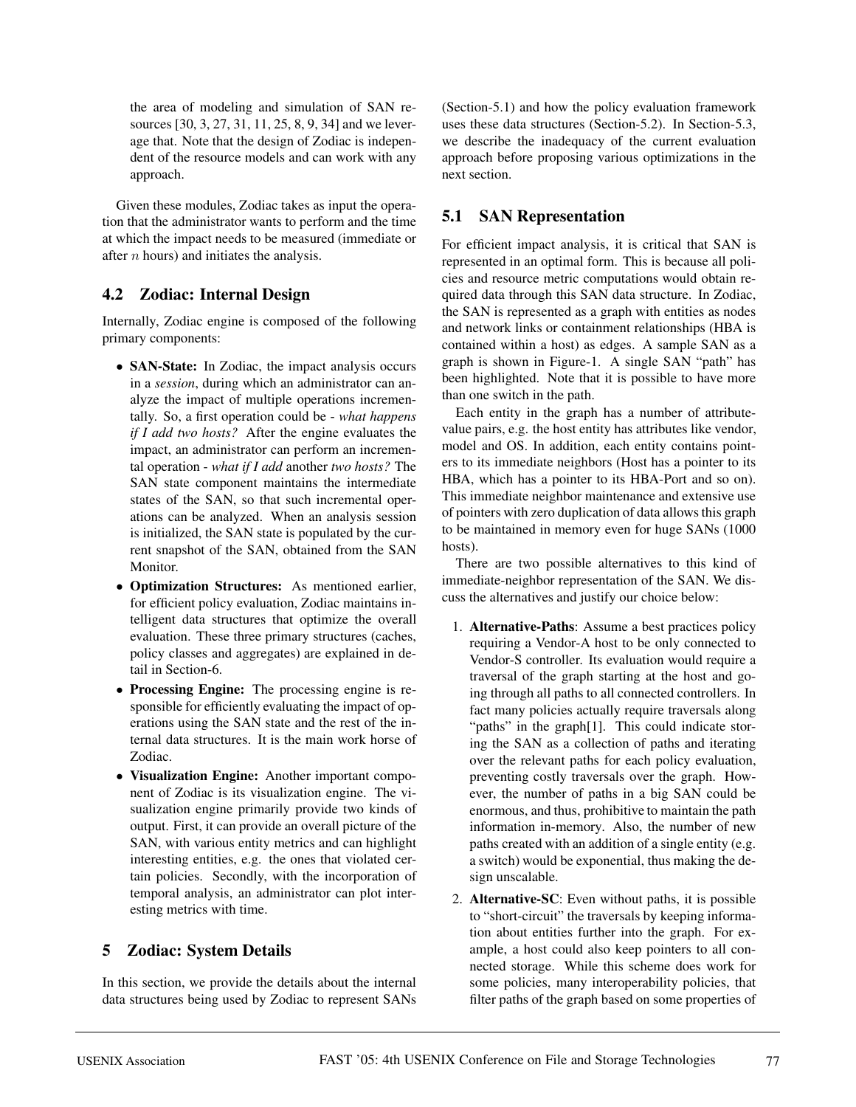the area of modeling and simulation of SAN resources [30, 3, 27, 31, 11, 25, 8, 9, 34] and we leverage that. Note that the design of Zodiac is independent of the resource models and can work with any approach.

Given these modules, Zodiac takes as input the operation that the administrator wants to perform and the time at which the impact needs to be measured (immediate or after n hours) and initiates the analysis.

## **4.2 Zodiac: Internal Design**

Internally, Zodiac engine is composed of the following primary components:

- **SAN-State:** In Zodiac, the impact analysis occurs in a *session*, during which an administrator can analyze the impact of multiple operations incrementally. So, a first operation could be - *what happens if I add two hosts?* After the engine evaluates the impact, an administrator can perform an incremental operation - *what if I add* another *two hosts?* The SAN state component maintains the intermediate states of the SAN, so that such incremental operations can be analyzed. When an analysis session is initialized, the SAN state is populated by the current snapshot of the SAN, obtained from the SAN Monitor.
- **Optimization Structures:** As mentioned earlier, for efficient policy evaluation, Zodiac maintains intelligent data structures that optimize the overall evaluation. These three primary structures (caches, policy classes and aggregates) are explained in detail in Section-6.
- **Processing Engine:** The processing engine is responsible for efficiently evaluating the impact of operations using the SAN state and the rest of the internal data structures. It is the main work horse of Zodiac.
- **Visualization Engine:** Another important component of Zodiac is its visualization engine. The visualization engine primarily provide two kinds of output. First, it can provide an overall picture of the SAN, with various entity metrics and can highlight interesting entities, e.g. the ones that violated certain policies. Secondly, with the incorporation of temporal analysis, an administrator can plot interesting metrics with time.

# **5 Zodiac: System Details**

In this section, we provide the details about the internal data structures being used by Zodiac to represent SANs (Section-5.1) and how the policy evaluation framework uses these data structures (Section-5.2). In Section-5.3, we describe the inadequacy of the current evaluation approach before proposing various optimizations in the next section.

## **5.1 SAN Representation**

For efficient impact analysis, it is critical that SAN is represented in an optimal form. This is because all policies and resource metric computations would obtain required data through this SAN data structure. In Zodiac, the SAN is represented as a graph with entities as nodes and network links or containment relationships (HBA is contained within a host) as edges. A sample SAN as a graph is shown in Figure-1. A single SAN "path" has been highlighted. Note that it is possible to have more than one switch in the path.

Each entity in the graph has a number of attributevalue pairs, e.g. the host entity has attributes like vendor, model and OS. In addition, each entity contains pointers to its immediate neighbors (Host has a pointer to its HBA, which has a pointer to its HBA-Port and so on). This immediate neighbor maintenance and extensive use of pointers with zero duplication of data allows this graph to be maintained in memory even for huge SANs (1000 hosts).

There are two possible alternatives to this kind of immediate-neighbor representation of the SAN. We discuss the alternatives and justify our choice below:

- 1. **Alternative-Paths**: Assume a best practices policy requiring a Vendor-A host to be only connected to Vendor-S controller. Its evaluation would require a traversal of the graph starting at the host and going through all paths to all connected controllers. In fact many policies actually require traversals along "paths" in the graph<sup>[1]</sup>. This could indicate storing the SAN as a collection of paths and iterating over the relevant paths for each policy evaluation, preventing costly traversals over the graph. However, the number of paths in a big SAN could be enormous, and thus, prohibitive to maintain the path information in-memory. Also, the number of new paths created with an addition of a single entity (e.g. a switch) would be exponential, thus making the design unscalable.
- 2. **Alternative-SC**: Even without paths, it is possible to "short-circuit" the traversals by keeping information about entities further into the graph. For example, a host could also keep pointers to all connected storage. While this scheme does work for some policies, many interoperability policies, that filter paths of the graph based on some properties of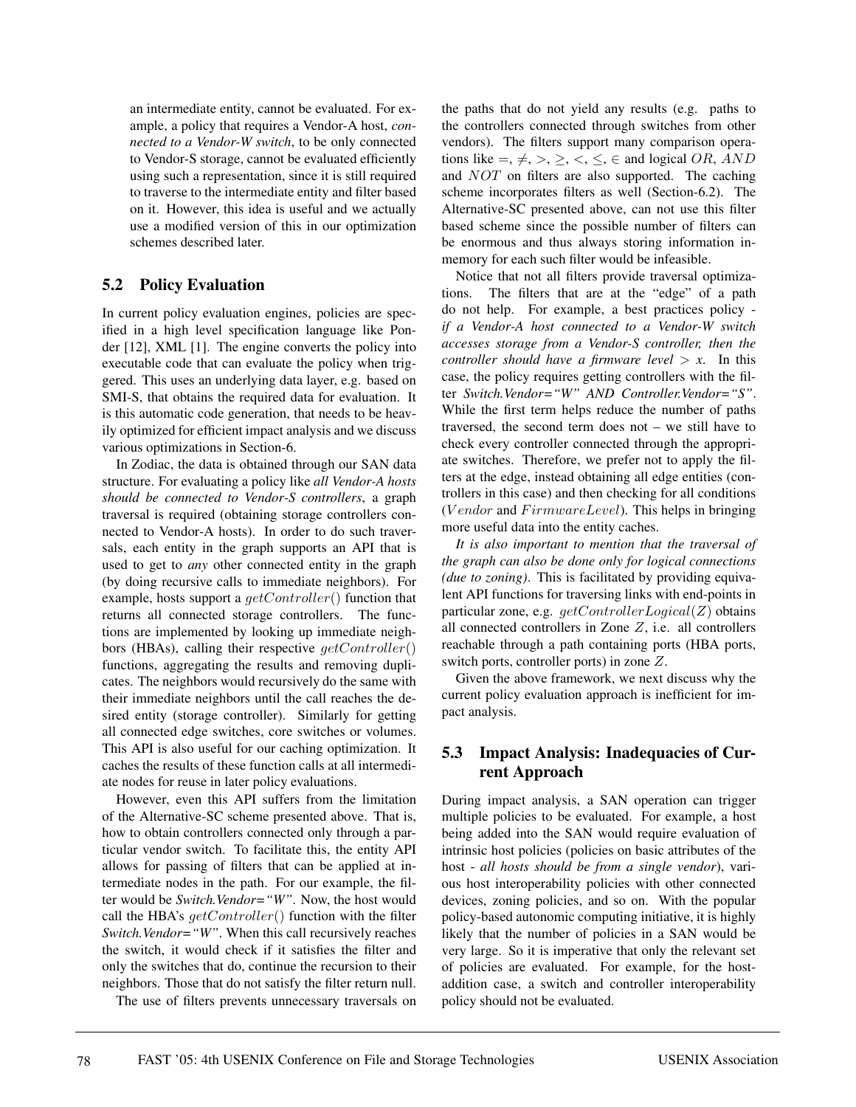an intermediate entity, cannot be evaluated. For example, a policy that requires a Vendor-A host, *connected to a Vendor-W switch*, to be only connected to Vendor-S storage, cannot be evaluated efficiently using such a representation, since it is still required to traverse to the intermediate entity and filter based on it. However, this idea is useful and we actually use a modified version of this in our optimization schemes described later.

## **5.2 Policy Evaluation**

In current policy evaluation engines, policies are specified in a high level specification language like Ponder [12], XML [1]. The engine converts the policy into executable code that can evaluate the policy when triggered. This uses an underlying data layer, e.g. based on SMI-S, that obtains the required data for evaluation. It is this automatic code generation, that needs to be heavily optimized for efficient impact analysis and we discuss various optimizations in Section-6.

In Zodiac, the data is obtained through our SAN data structure. For evaluating a policy like *all Vendor-A hosts should be connected to Vendor-S controllers*, a graph traversal is required (obtaining storage controllers connected to Vendor-A hosts). In order to do such traversals, each entity in the graph supports an API that is used to get to *any* other connected entity in the graph (by doing recursive calls to immediate neighbors). For example, hosts support a  $getController()$  function that returns all connected storage controllers. The functions are implemented by looking up immediate neighbors (HBAs), calling their respective  $qetController()$ functions, aggregating the results and removing duplicates. The neighbors would recursively do the same with their immediate neighbors until the call reaches the desired entity (storage controller). Similarly for getting all connected edge switches, core switches or volumes. This API is also useful for our caching optimization. It caches the results of these function calls at all intermediate nodes for reuse in later policy evaluations.

However, even this API suffers from the limitation of the Alternative-SC scheme presented above. That is, how to obtain controllers connected only through a particular vendor switch. To facilitate this, the entity API allows for passing of filters that can be applied at intermediate nodes in the path. For our example, the filter would be *Switch.Vendor="W"*. Now, the host would call the HBA's  $getController()$  function with the filter *Switch.Vendor="W"*. When this call recursively reaches the switch, it would check if it satisfies the filter and only the switches that do, continue the recursion to their neighbors. Those that do not satisfy the filter return null.

The use of filters prevents unnecessary traversals on

the paths that do not yield any results (e.g. paths to the controllers connected through switches from other vendors). The filters support many comparison operations like =,  $\neq$ , >,  $\geq$ , <,  $\leq$ ,  $\in$  and logical *OR*, *AND* and NOT on filters are also supported. The caching scheme incorporates filters as well (Section-6.2). The Alternative-SC presented above, can not use this filter based scheme since the possible number of filters can be enormous and thus always storing information inmemory for each such filter would be infeasible.

Notice that not all filters provide traversal optimizations. The filters that are at the "edge" of a path do not help. For example, a best practices policy *if a Vendor-A host connected to a Vendor-W switch accesses storage from a Vendor-S controller, then the controller should have a firmware level*  $> x$ . In this case, the policy requires getting controllers with the filter *Switch.Vendor="W" AND Controller.Vendor="S"*. While the first term helps reduce the number of paths traversed, the second term does not – we still have to check every controller connected through the appropriate switches. Therefore, we prefer not to apply the filters at the edge, instead obtaining all edge entities (controllers in this case) and then checking for all conditions  $(Vendor$  and  $FirmwareLevel$ ). This helps in bringing more useful data into the entity caches.

*It is also important to mention that the traversal of the graph can also be done only for logical connections (due to zoning)*. This is facilitated by providing equivalent API functions for traversing links with end-points in particular zone, e.g.  $getControllerLogical(Z)$  obtains all connected controllers in Zone  $Z$ , i.e. all controllers reachable through a path containing ports (HBA ports, switch ports, controller ports) in zone Z.

Given the above framework, we next discuss why the current policy evaluation approach is inefficient for impact analysis.

## **5.3 Impact Analysis: Inadequacies of Current Approach**

During impact analysis, a SAN operation can trigger multiple policies to be evaluated. For example, a host being added into the SAN would require evaluation of intrinsic host policies (policies on basic attributes of the host - *all hosts should be from a single vendor*), various host interoperability policies with other connected devices, zoning policies, and so on. With the popular policy-based autonomic computing initiative, it is highly likely that the number of policies in a SAN would be very large. So it is imperative that only the relevant set of policies are evaluated. For example, for the hostaddition case, a switch and controller interoperability policy should not be evaluated.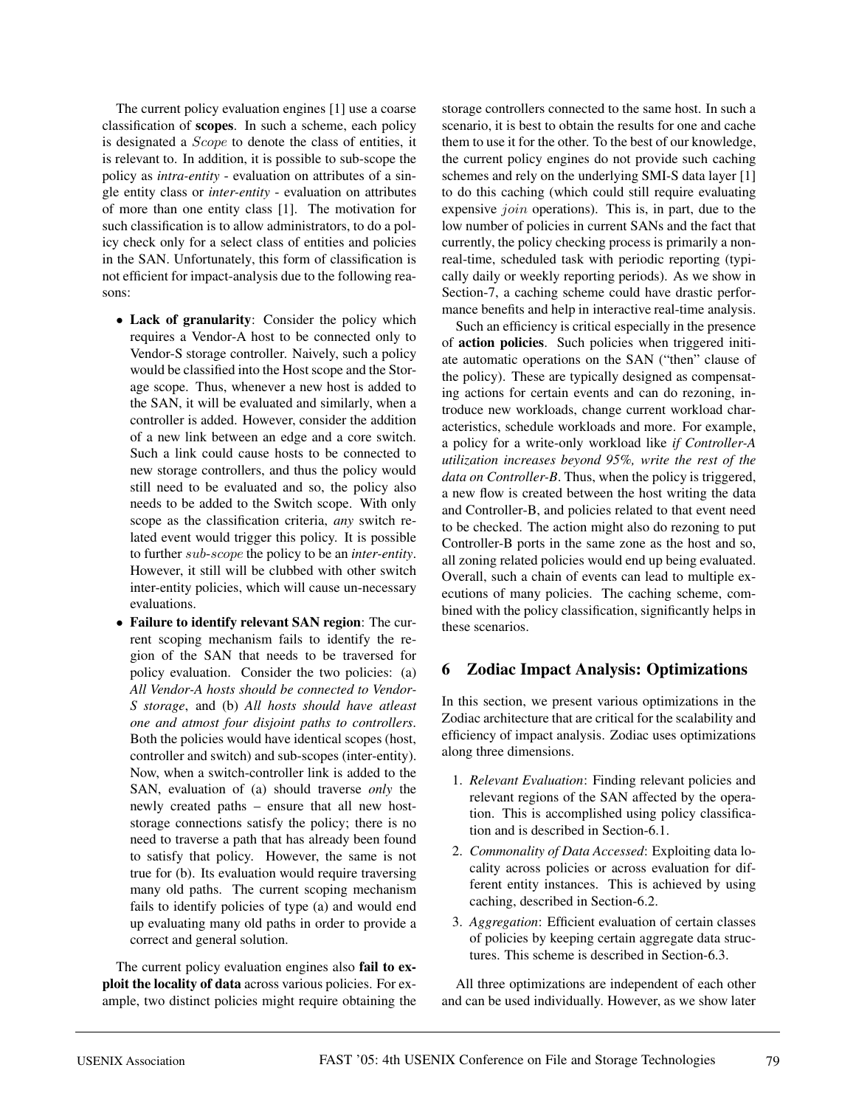The current policy evaluation engines [1] use a coarse classification of **scopes**. In such a scheme, each policy is designated a *Scope* to denote the class of entities, it is relevant to. In addition, it is possible to sub-scope the policy as *intra-entity* - evaluation on attributes of a single entity class or *inter-entity* - evaluation on attributes of more than one entity class [1]. The motivation for such classification is to allow administrators, to do a policy check only for a select class of entities and policies in the SAN. Unfortunately, this form of classification is not efficient for impact-analysis due to the following reasons:

- **Lack of granularity**: Consider the policy which requires a Vendor-A host to be connected only to Vendor-S storage controller. Naively, such a policy would be classified into the Host scope and the Storage scope. Thus, whenever a new host is added to the SAN, it will be evaluated and similarly, when a controller is added. However, consider the addition of a new link between an edge and a core switch. Such a link could cause hosts to be connected to new storage controllers, and thus the policy would still need to be evaluated and so, the policy also needs to be added to the Switch scope. With only scope as the classification criteria, *any* switch related event would trigger this policy. It is possible to further sub-scope the policy to be an *inter-entity*. However, it still will be clubbed with other switch inter-entity policies, which will cause un-necessary evaluations.
- **Failure to identify relevant SAN region**: The current scoping mechanism fails to identify the region of the SAN that needs to be traversed for policy evaluation. Consider the two policies: (a) *All Vendor-A hosts should be connected to Vendor-S storage*, and (b) *All hosts should have atleast one and atmost four disjoint paths to controllers*. Both the policies would have identical scopes (host, controller and switch) and sub-scopes (inter-entity). Now, when a switch-controller link is added to the SAN, evaluation of (a) should traverse *only* the newly created paths – ensure that all new hoststorage connections satisfy the policy; there is no need to traverse a path that has already been found to satisfy that policy. However, the same is not true for (b). Its evaluation would require traversing many old paths. The current scoping mechanism fails to identify policies of type (a) and would end up evaluating many old paths in order to provide a correct and general solution.

The current policy evaluation engines also **fail to exploit the locality of data** across various policies. For example, two distinct policies might require obtaining the storage controllers connected to the same host. In such a scenario, it is best to obtain the results for one and cache them to use it for the other. To the best of our knowledge, the current policy engines do not provide such caching schemes and rely on the underlying SMI-S data layer [1] to do this caching (which could still require evaluating expensive *join* operations). This is, in part, due to the low number of policies in current SANs and the fact that currently, the policy checking process is primarily a nonreal-time, scheduled task with periodic reporting (typically daily or weekly reporting periods). As we show in Section-7, a caching scheme could have drastic performance benefits and help in interactive real-time analysis.

Such an efficiency is critical especially in the presence of **action policies**. Such policies when triggered initiate automatic operations on the SAN ("then" clause of the policy). These are typically designed as compensating actions for certain events and can do rezoning, introduce new workloads, change current workload characteristics, schedule workloads and more. For example, a policy for a write-only workload like *if Controller-A utilization increases beyond 95%, write the rest of the data on Controller-B*. Thus, when the policy is triggered, a new flow is created between the host writing the data and Controller-B, and policies related to that event need to be checked. The action might also do rezoning to put Controller-B ports in the same zone as the host and so, all zoning related policies would end up being evaluated. Overall, such a chain of events can lead to multiple executions of many policies. The caching scheme, combined with the policy classification, significantly helps in these scenarios.

### **6 Zodiac Impact Analysis: Optimizations**

In this section, we present various optimizations in the Zodiac architecture that are critical for the scalability and efficiency of impact analysis. Zodiac uses optimizations along three dimensions.

- 1. *Relevant Evaluation*: Finding relevant policies and relevant regions of the SAN affected by the operation. This is accomplished using policy classification and is described in Section-6.1.
- 2. *Commonality of Data Accessed*: Exploiting data locality across policies or across evaluation for different entity instances. This is achieved by using caching, described in Section-6.2.
- 3. *Aggregation*: Efficient evaluation of certain classes of policies by keeping certain aggregate data structures. This scheme is described in Section-6.3.

All three optimizations are independent of each other and can be used individually. However, as we show later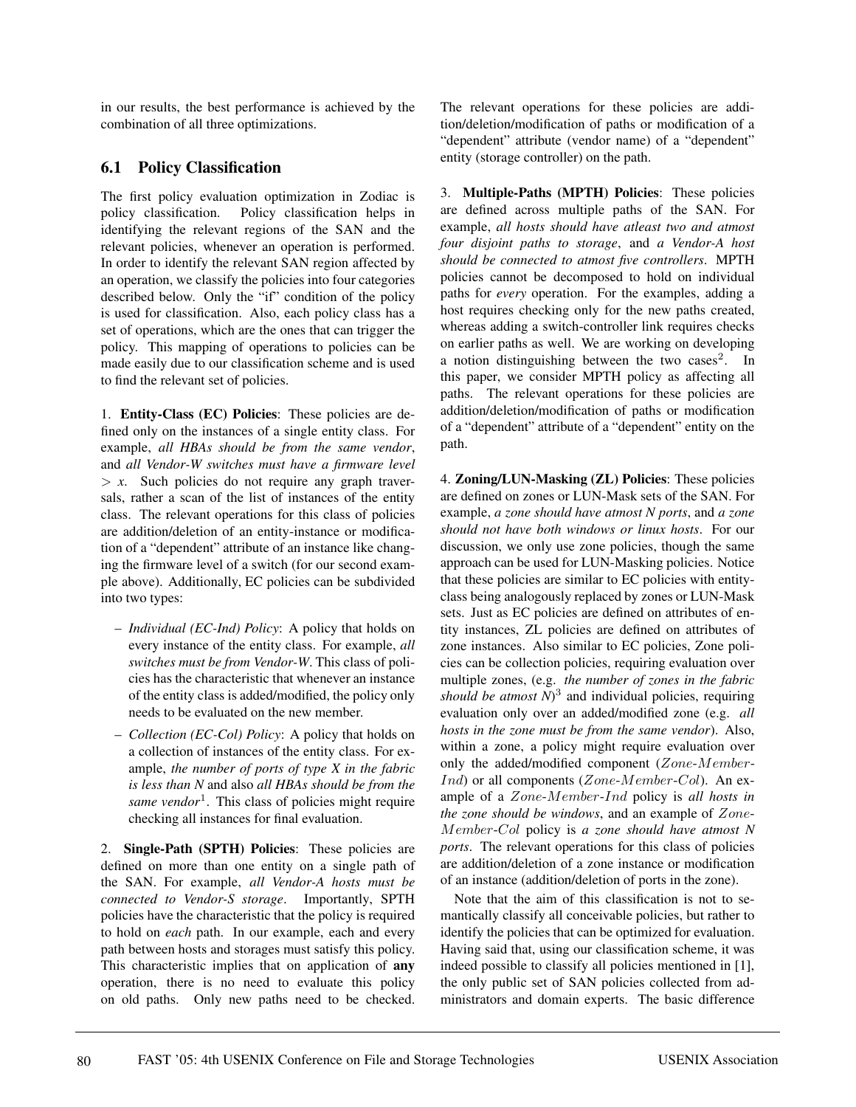in our results, the best performance is achieved by the combination of all three optimizations.

## **6.1 Policy Classification**

The first policy evaluation optimization in Zodiac is policy classification. Policy classification helps in identifying the relevant regions of the SAN and the relevant policies, whenever an operation is performed. In order to identify the relevant SAN region affected by an operation, we classify the policies into four categories described below. Only the "if" condition of the policy is used for classification. Also, each policy class has a set of operations, which are the ones that can trigger the policy. This mapping of operations to policies can be made easily due to our classification scheme and is used to find the relevant set of policies.

1. **Entity-Class (EC) Policies**: These policies are defined only on the instances of a single entity class. For example, *all HBAs should be from the same vendor*, and *all Vendor-W switches must have a firmware level*  $> x$ . Such policies do not require any graph traversals, rather a scan of the list of instances of the entity class. The relevant operations for this class of policies are addition/deletion of an entity-instance or modification of a "dependent" attribute of an instance like changing the firmware level of a switch (for our second example above). Additionally, EC policies can be subdivided into two types:

- *Individual (EC-Ind) Policy*: A policy that holds on every instance of the entity class. For example, *all switches must be from Vendor-W*. This class of policies has the characteristic that whenever an instance of the entity class is added/modified, the policy only needs to be evaluated on the new member.
- *Collection (EC-Col) Policy*: A policy that holds on a collection of instances of the entity class. For example, *the number of ports of type X in the fabric is less than N* and also *all HBAs should be from the same vendor*<sup>1</sup>. This class of policies might require checking all instances for final evaluation.

2. **Single-Path (SPTH) Policies**: These policies are defined on more than one entity on a single path of the SAN. For example, *all Vendor-A hosts must be connected to Vendor-S storage*. Importantly, SPTH policies have the characteristic that the policy is required to hold on *each* path. In our example, each and every path between hosts and storages must satisfy this policy. This characteristic implies that on application of **any** operation, there is no need to evaluate this policy on old paths. Only new paths need to be checked. The relevant operations for these policies are addition/deletion/modification of paths or modification of a "dependent" attribute (vendor name) of a "dependent" entity (storage controller) on the path.

3. **Multiple-Paths (MPTH) Policies**: These policies are defined across multiple paths of the SAN. For example, *all hosts should have atleast two and atmost four disjoint paths to storage*, and *a Vendor-A host should be connected to atmost five controllers*. MPTH policies cannot be decomposed to hold on individual paths for *every* operation. For the examples, adding a host requires checking only for the new paths created, whereas adding a switch-controller link requires checks on earlier paths as well. We are working on developing a notion distinguishing between the two cases<sup>2</sup>. In this paper, we consider MPTH policy as affecting all paths. The relevant operations for these policies are addition/deletion/modification of paths or modification of a "dependent" attribute of a "dependent" entity on the path.

4. **Zoning/LUN-Masking (ZL) Policies**: These policies are defined on zones or LUN-Mask sets of the SAN. For example, *a zone should have atmost N ports*, and *a zone should not have both windows or linux hosts*. For our discussion, we only use zone policies, though the same approach can be used for LUN-Masking policies. Notice that these policies are similar to EC policies with entityclass being analogously replaced by zones or LUN-Mask sets. Just as EC policies are defined on attributes of entity instances, ZL policies are defined on attributes of zone instances. Also similar to EC policies, Zone policies can be collection policies, requiring evaluation over multiple zones, (e.g. *the number of zones in the fabric should be atmost*  $\mathbb{N}^3$  and individual policies, requiring evaluation only over an added/modified zone (e.g. *all hosts in the zone must be from the same vendor*). Also, within a zone, a policy might require evaluation over only the added/modified component  $(Zone-Member-$ *Ind*) or all components (*Zone-Member-Col*). An example of a Zone-Member-Ind policy is *all hosts in the zone should be windows*, and an example of Zone-Member-Col policy is *a zone should have atmost N ports*. The relevant operations for this class of policies are addition/deletion of a zone instance or modification of an instance (addition/deletion of ports in the zone).

Note that the aim of this classification is not to semantically classify all conceivable policies, but rather to identify the policies that can be optimized for evaluation. Having said that, using our classification scheme, it was indeed possible to classify all policies mentioned in [1], the only public set of SAN policies collected from administrators and domain experts. The basic difference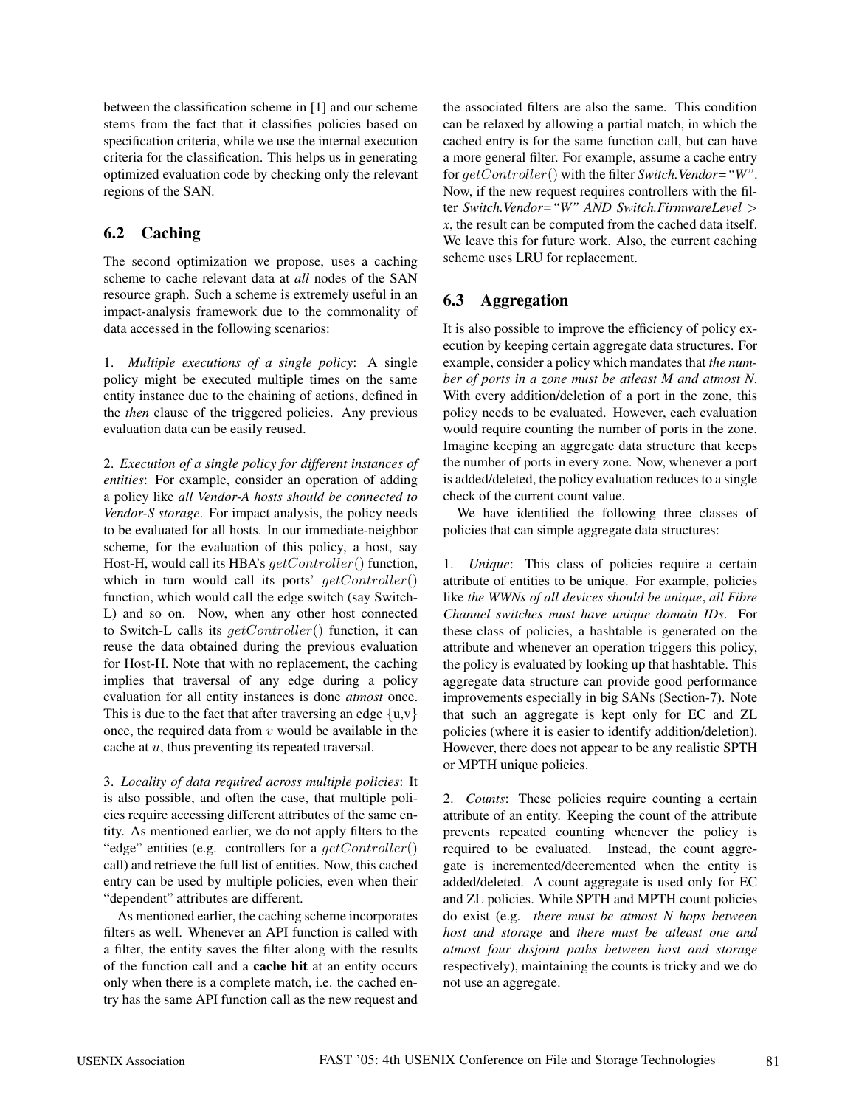between the classification scheme in [1] and our scheme stems from the fact that it classifies policies based on specification criteria, while we use the internal execution criteria for the classification. This helps us in generating optimized evaluation code by checking only the relevant regions of the SAN.

# **6.2 Caching**

The second optimization we propose, uses a caching scheme to cache relevant data at *all* nodes of the SAN resource graph. Such a scheme is extremely useful in an impact-analysis framework due to the commonality of data accessed in the following scenarios:

1. *Multiple executions of a single policy*: A single policy might be executed multiple times on the same entity instance due to the chaining of actions, defined in the *then* clause of the triggered policies. Any previous evaluation data can be easily reused.

2. *Execution of a single policy for different instances of entities*: For example, consider an operation of adding a policy like *all Vendor-A hosts should be connected to Vendor-S storage*. For impact analysis, the policy needs to be evaluated for all hosts. In our immediate-neighbor scheme, for the evaluation of this policy, a host, say Host-H, would call its HBA's  $qetController()$  function, which in turn would call its ports'  $getController()$ function, which would call the edge switch (say Switch-L) and so on. Now, when any other host connected to Switch-L calls its  $qetController()$  function, it can reuse the data obtained during the previous evaluation for Host-H. Note that with no replacement, the caching implies that traversal of any edge during a policy evaluation for all entity instances is done *atmost* once. This is due to the fact that after traversing an edge  $\{u,v\}$ once, the required data from  $v$  would be available in the cache at  $u$ , thus preventing its repeated traversal.

3. *Locality of data required across multiple policies*: It is also possible, and often the case, that multiple policies require accessing different attributes of the same entity. As mentioned earlier, we do not apply filters to the "edge" entities (e.g. controllers for a  $qetController()$ call) and retrieve the full list of entities. Now, this cached entry can be used by multiple policies, even when their "dependent" attributes are different.

As mentioned earlier, the caching scheme incorporates filters as well. Whenever an API function is called with a filter, the entity saves the filter along with the results of the function call and a **cache hit** at an entity occurs only when there is a complete match, i.e. the cached entry has the same API function call as the new request and the associated filters are also the same. This condition can be relaxed by allowing a partial match, in which the cached entry is for the same function call, but can have a more general filter. For example, assume a cache entry for getController() with the filter *Switch.Vendor="W"*. Now, if the new request requires controllers with the filter *Switch.Vendor="W" AND Switch.FirmwareLevel* > *x*, the result can be computed from the cached data itself. We leave this for future work. Also, the current caching scheme uses LRU for replacement.

# **6.3 Aggregation**

It is also possible to improve the efficiency of policy execution by keeping certain aggregate data structures. For example, consider a policy which mandates that *the number of ports in a zone must be atleast M and atmost N*. With every addition/deletion of a port in the zone, this policy needs to be evaluated. However, each evaluation would require counting the number of ports in the zone. Imagine keeping an aggregate data structure that keeps the number of ports in every zone. Now, whenever a port is added/deleted, the policy evaluation reduces to a single check of the current count value.

We have identified the following three classes of policies that can simple aggregate data structures:

1. *Unique*: This class of policies require a certain attribute of entities to be unique. For example, policies like *the WWNs of all devices should be unique*, *all Fibre Channel switches must have unique domain IDs*. For these class of policies, a hashtable is generated on the attribute and whenever an operation triggers this policy, the policy is evaluated by looking up that hashtable. This aggregate data structure can provide good performance improvements especially in big SANs (Section-7). Note that such an aggregate is kept only for EC and ZL policies (where it is easier to identify addition/deletion). However, there does not appear to be any realistic SPTH or MPTH unique policies.

2. *Counts*: These policies require counting a certain attribute of an entity. Keeping the count of the attribute prevents repeated counting whenever the policy is required to be evaluated. Instead, the count aggregate is incremented/decremented when the entity is added/deleted. A count aggregate is used only for EC and ZL policies. While SPTH and MPTH count policies do exist (e.g. *there must be atmost N hops between host and storage* and *there must be atleast one and atmost four disjoint paths between host and storage* respectively), maintaining the counts is tricky and we do not use an aggregate.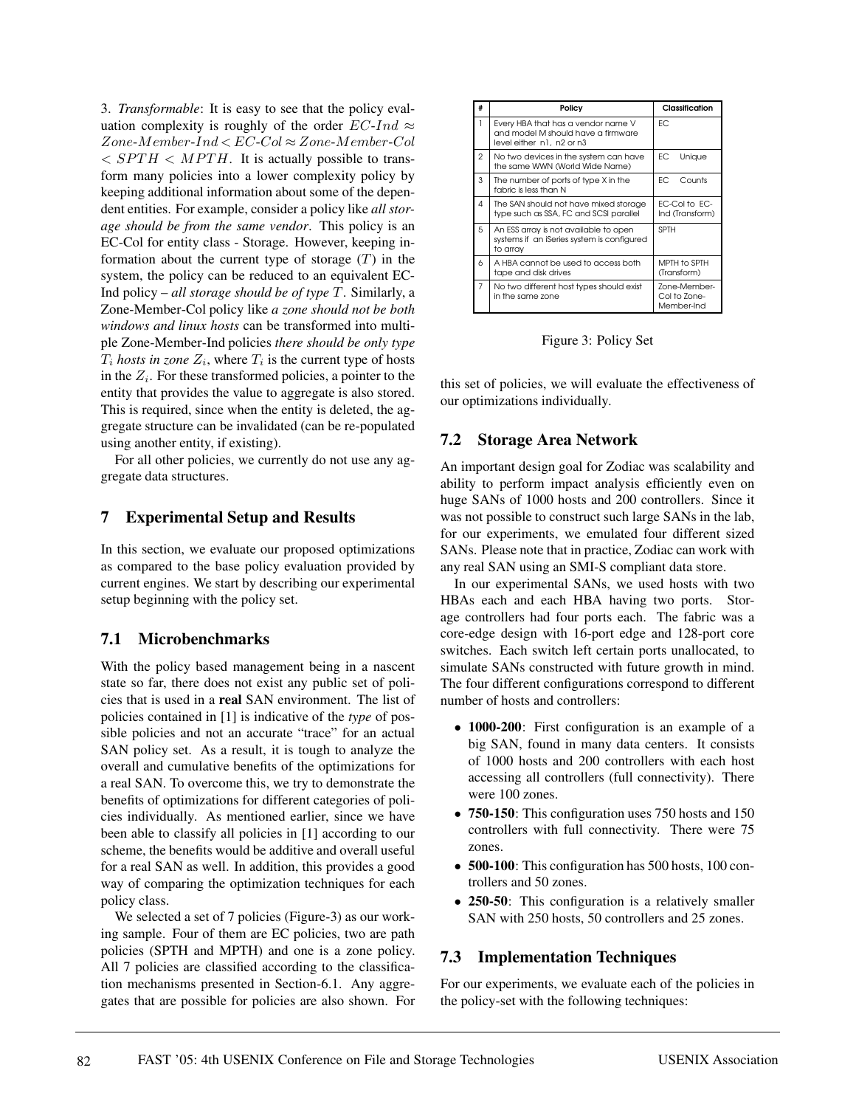3. *Transformable*: It is easy to see that the policy evaluation complexity is roughly of the order  $EC-Ind \approx$  $Zone-Member-Ind < EC$ - $Col \approx Zone-Member$ - $Col$  $\langle$  SPTH  $\langle$  MPTH. It is actually possible to transform many policies into a lower complexity policy by keeping additional information about some of the dependent entities. For example, consider a policy like *all storage should be from the same vendor*. This policy is an EC-Col for entity class - Storage. However, keeping information about the current type of storage  $(T)$  in the system, the policy can be reduced to an equivalent EC-Ind policy – *all storage should be of type* T. Similarly, a Zone-Member-Col policy like *a zone should not be both windows and linux hosts* can be transformed into multiple Zone-Member-Ind policies *there should be only type*  $T_i$  *hosts in zone*  $Z_i$ , where  $T_i$  is the current type of hosts in the  $Z_i$ . For these transformed policies, a pointer to the entity that provides the value to aggregate is also stored. This is required, since when the entity is deleted, the aggregate structure can be invalidated (can be re-populated using another entity, if existing).

For all other policies, we currently do not use any aggregate data structures.

### **7 Experimental Setup and Results**

In this section, we evaluate our proposed optimizations as compared to the base policy evaluation provided by current engines. We start by describing our experimental setup beginning with the policy set.

## **7.1 Microbenchmarks**

With the policy based management being in a nascent state so far, there does not exist any public set of policies that is used in a **real** SAN environment. The list of policies contained in [1] is indicative of the *type* of possible policies and not an accurate "trace" for an actual SAN policy set. As a result, it is tough to analyze the overall and cumulative benefits of the optimizations for a real SAN. To overcome this, we try to demonstrate the benefits of optimizations for different categories of policies individually. As mentioned earlier, since we have been able to classify all policies in [1] according to our scheme, the benefits would be additive and overall useful for a real SAN as well. In addition, this provides a good way of comparing the optimization techniques for each policy class.

We selected a set of 7 policies (Figure-3) as our working sample. Four of them are EC policies, two are path policies (SPTH and MPTH) and one is a zone policy. All 7 policies are classified according to the classification mechanisms presented in Section-6.1. Any aggregates that are possible for policies are also shown. For

| # | Policy                                                                                                | Classification                             |
|---|-------------------------------------------------------------------------------------------------------|--------------------------------------------|
| 1 | Every HBA that has a vendor name V<br>and model M should have a firmware<br>level either n1, n2 or n3 | FC.                                        |
| 2 | No two devices in the system can have<br>the same WWN (World Wide Name)                               | ЕC<br>Unique                               |
| 3 | The number of ports of type X in the<br>fabric is less than N                                         | FC<br>Counts                               |
| 4 | The SAN should not have mixed storage<br>type such as SSA, FC and SCSI parallel                       | EC-Col to EC-<br>Ind (Transform)           |
| 5 | An ESS array is not available to open<br>systems if an iSeries system is configured<br>to array       | <b>SPTH</b>                                |
| 6 | A HBA cannot be used to access both<br>tape and disk drives                                           | MPTH to SPTH<br>(Transform)                |
| 7 | No two different host types should exist<br>in the same zone                                          | Zone-Member-<br>Col to Zone-<br>Member-Ind |

Figure 3: Policy Set

this set of policies, we will evaluate the effectiveness of our optimizations individually.

## **7.2 Storage Area Network**

An important design goal for Zodiac was scalability and ability to perform impact analysis efficiently even on huge SANs of 1000 hosts and 200 controllers. Since it was not possible to construct such large SANs in the lab, for our experiments, we emulated four different sized SANs. Please note that in practice, Zodiac can work with any real SAN using an SMI-S compliant data store.

In our experimental SANs, we used hosts with two HBAs each and each HBA having two ports. Storage controllers had four ports each. The fabric was a core-edge design with 16-port edge and 128-port core switches. Each switch left certain ports unallocated, to simulate SANs constructed with future growth in mind. The four different configurations correspond to different number of hosts and controllers:

- **1000-200**: First configuration is an example of a big SAN, found in many data centers. It consists of 1000 hosts and 200 controllers with each host accessing all controllers (full connectivity). There were 100 zones.
- **750-150**: This configuration uses 750 hosts and 150 controllers with full connectivity. There were 75 zones.
- **500-100**: This configuration has 500 hosts, 100 controllers and 50 zones.
- **250-50**: This configuration is a relatively smaller SAN with 250 hosts, 50 controllers and 25 zones.

# **7.3 Implementation Techniques**

For our experiments, we evaluate each of the policies in the policy-set with the following techniques: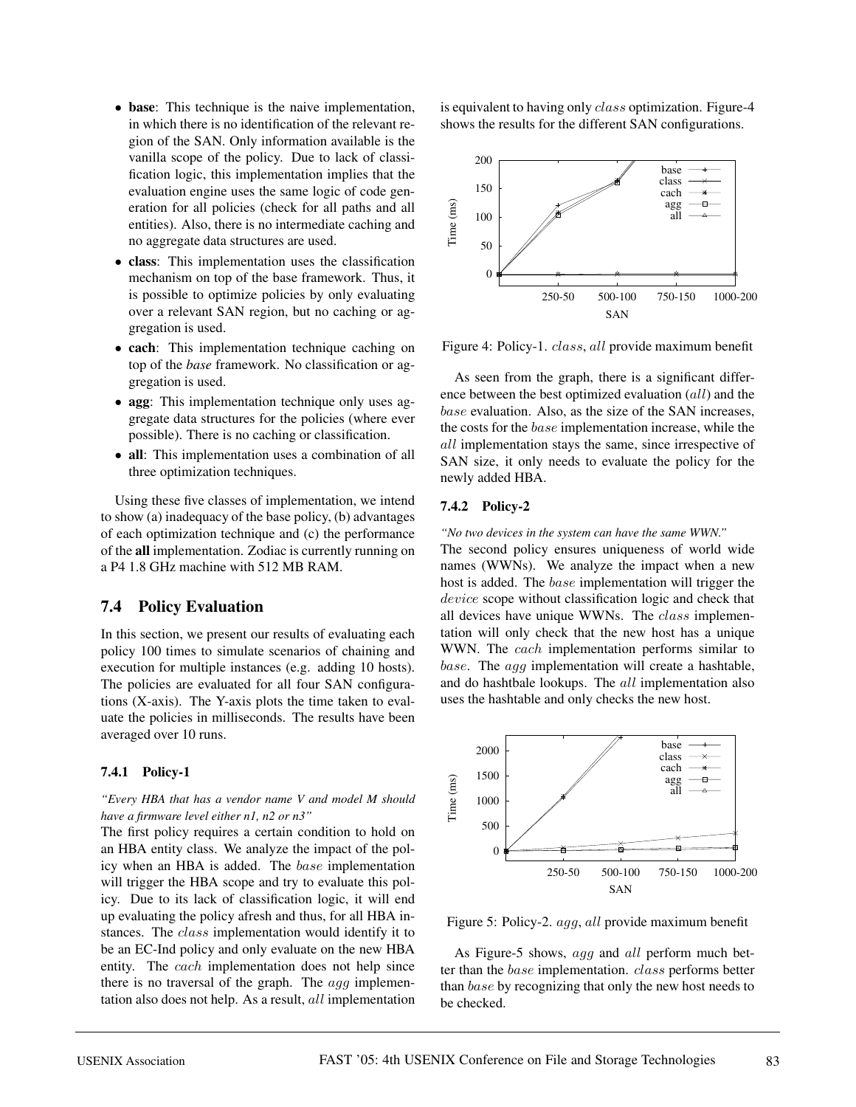- **base**: This technique is the naive implementation, in which there is no identification of the relevant region of the SAN. Only information available is the vanilla scope of the policy. Due to lack of classification logic, this implementation implies that the evaluation engine uses the same logic of code generation for all policies (check for all paths and all entities). Also, there is no intermediate caching and no aggregate data structures are used.
- **class**: This implementation uses the classification mechanism on top of the base framework. Thus, it is possible to optimize policies by only evaluating over a relevant SAN region, but no caching or aggregation is used.
- **cach**: This implementation technique caching on top of the *base* framework. No classification or aggregation is used.
- **agg**: This implementation technique only uses aggregate data structures for the policies (where ever possible). There is no caching or classification.
- **all**: This implementation uses a combination of all three optimization techniques.

Using these five classes of implementation, we intend to show (a) inadequacy of the base policy, (b) advantages of each optimization technique and (c) the performance of the **all** implementation. Zodiac is currently running on a P4 1.8 GHz machine with 512 MB RAM.

### **7.4 Policy Evaluation**

In this section, we present our results of evaluating each policy 100 times to simulate scenarios of chaining and execution for multiple instances (e.g. adding 10 hosts). The policies are evaluated for all four SAN configurations (X-axis). The Y-axis plots the time taken to evaluate the policies in milliseconds. The results have been averaged over 10 runs.

#### **7.4.1 Policy-1**

### *"Every HBA that has a vendor name V and model M should have a firmware level either n1, n2 or n3"*

The first policy requires a certain condition to hold on an HBA entity class. We analyze the impact of the policy when an HBA is added. The base implementation will trigger the HBA scope and try to evaluate this policy. Due to its lack of classification logic, it will end up evaluating the policy afresh and thus, for all HBA instances. The class implementation would identify it to be an EC-Ind policy and only evaluate on the new HBA entity. The *cach* implementation does not help since there is no traversal of the graph. The agg implementation also does not help. As a result, all implementation is equivalent to having only *class* optimization. Figure-4 shows the results for the different SAN configurations.



Figure 4: Policy-1. class, all provide maximum benefit

As seen from the graph, there is a significant difference between the best optimized evaluation (all) and the base evaluation. Also, as the size of the SAN increases, the costs for the base implementation increase, while the all implementation stays the same, since irrespective of SAN size, it only needs to evaluate the policy for the newly added HBA.

### **7.4.2 Policy-2**

*"No two devices in the system can have the same WWN."*

The second policy ensures uniqueness of world wide names (WWNs). We analyze the impact when a new host is added. The base implementation will trigger the device scope without classification logic and check that all devices have unique WWNs. The class implementation will only check that the new host has a unique WWN. The *cach* implementation performs similar to base. The agg implementation will create a hashtable, and do hashtbale lookups. The all implementation also uses the hashtable and only checks the new host.





As Figure-5 shows, agg and all perform much better than the base implementation. class performs better than base by recognizing that only the new host needs to be checked.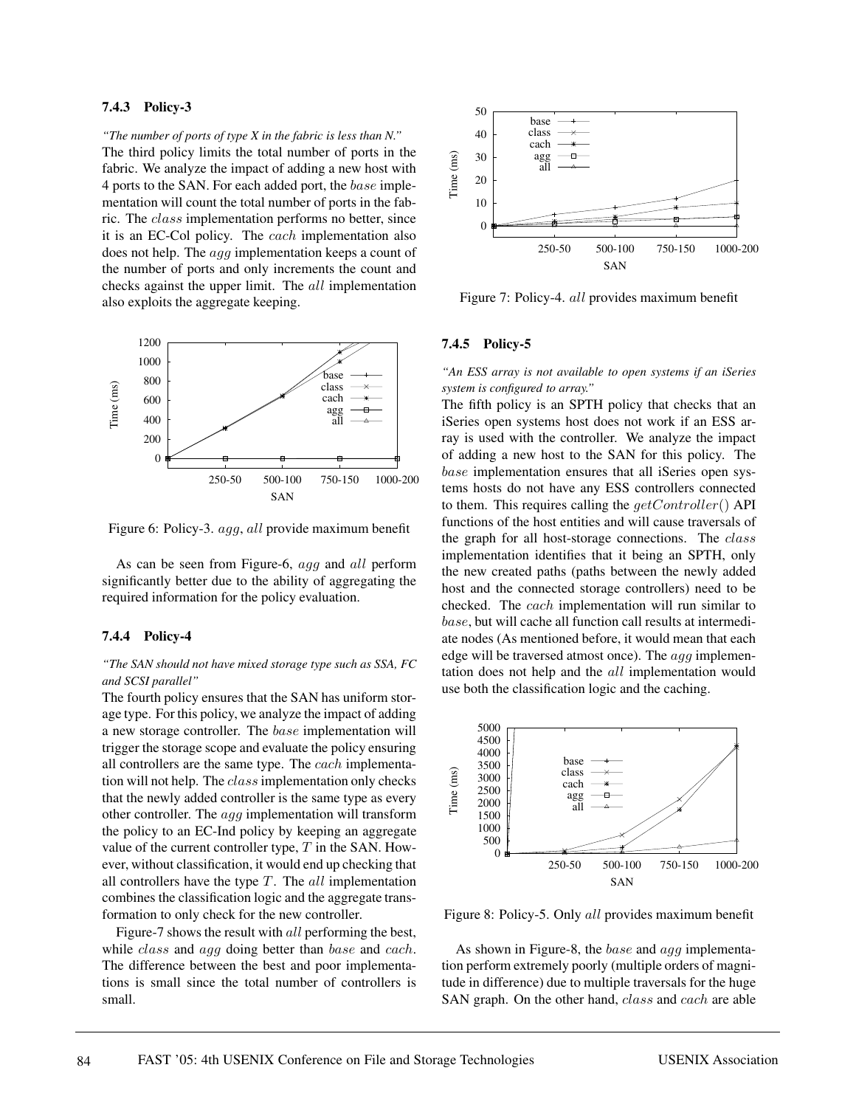### **7.4.3 Policy-3**

*"The number of ports of type X in the fabric is less than N."* The third policy limits the total number of ports in the fabric. We analyze the impact of adding a new host with 4 ports to the SAN. For each added port, the base implementation will count the total number of ports in the fabric. The class implementation performs no better, since it is an EC-Col policy. The cach implementation also does not help. The agg implementation keeps a count of the number of ports and only increments the count and checks against the upper limit. The all implementation also exploits the aggregate keeping.



Figure 6: Policy-3. agg, all provide maximum benefit

As can be seen from Figure-6, agg and all perform significantly better due to the ability of aggregating the required information for the policy evaluation.

#### **7.4.4 Policy-4**

#### *"The SAN should not have mixed storage type such as SSA, FC and SCSI parallel"*

The fourth policy ensures that the SAN has uniform storage type. For this policy, we analyze the impact of adding a new storage controller. The base implementation will trigger the storage scope and evaluate the policy ensuring all controllers are the same type. The cach implementation will not help. The class implementation only checks that the newly added controller is the same type as every other controller. The agg implementation will transform the policy to an EC-Ind policy by keeping an aggregate value of the current controller type,  $T$  in the SAN. However, without classification, it would end up checking that all controllers have the type  $T$ . The all implementation combines the classification logic and the aggregate transformation to only check for the new controller.

Figure-7 shows the result with *all* performing the best, while *class* and *agg* doing better than *base* and *cach*. The difference between the best and poor implementations is small since the total number of controllers is small.



Figure 7: Policy-4. all provides maximum benefit

### **7.4.5 Policy-5**

*"An ESS array is not available to open systems if an iSeries system is configured to array."*

The fifth policy is an SPTH policy that checks that an iSeries open systems host does not work if an ESS array is used with the controller. We analyze the impact of adding a new host to the SAN for this policy. The base implementation ensures that all iSeries open systems hosts do not have any ESS controllers connected to them. This requires calling the  $qetController()$  API functions of the host entities and will cause traversals of the graph for all host-storage connections. The class implementation identifies that it being an SPTH, only the new created paths (paths between the newly added host and the connected storage controllers) need to be checked. The cach implementation will run similar to base, but will cache all function call results at intermediate nodes (As mentioned before, it would mean that each edge will be traversed atmost once). The  $agg$  implementation does not help and the all implementation would use both the classification logic and the caching.



Figure 8: Policy-5. Only all provides maximum benefit

As shown in Figure-8, the base and agg implementation perform extremely poorly (multiple orders of magnitude in difference) due to multiple traversals for the huge SAN graph. On the other hand, class and cach are able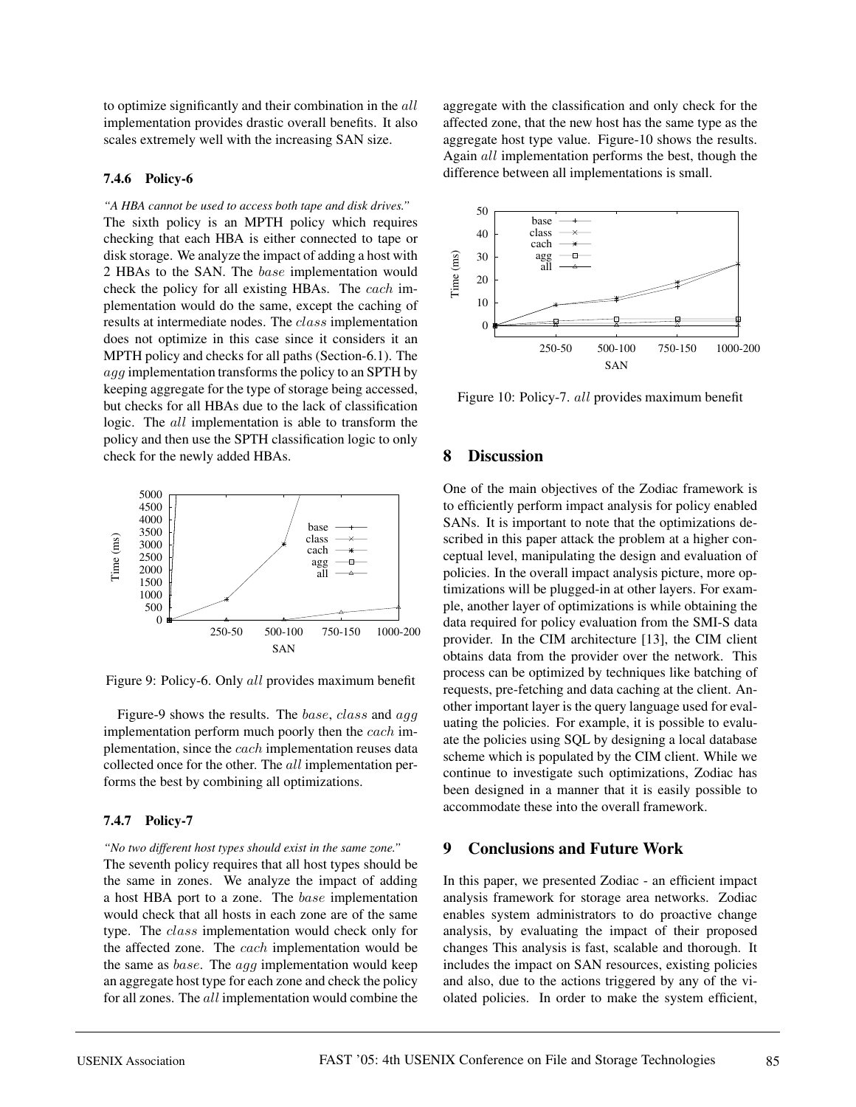to optimize significantly and their combination in the all implementation provides drastic overall benefits. It also scales extremely well with the increasing SAN size.

#### **7.4.6 Policy-6**

*"A HBA cannot be used to access both tape and disk drives."* The sixth policy is an MPTH policy which requires checking that each HBA is either connected to tape or disk storage. We analyze the impact of adding a host with 2 HBAs to the SAN. The base implementation would check the policy for all existing HBAs. The cach implementation would do the same, except the caching of results at intermediate nodes. The class implementation does not optimize in this case since it considers it an MPTH policy and checks for all paths (Section-6.1). The agg implementation transforms the policy to an SPTH by keeping aggregate for the type of storage being accessed, but checks for all HBAs due to the lack of classification logic. The all implementation is able to transform the policy and then use the SPTH classification logic to only check for the newly added HBAs.



Figure 9: Policy-6. Only all provides maximum benefit

Figure-9 shows the results. The *base*, *class* and *agg* implementation perform much poorly then the cach implementation, since the cach implementation reuses data collected once for the other. The all implementation performs the best by combining all optimizations.

#### **7.4.7 Policy-7**

#### *"No two different host types should exist in the same zone."*

The seventh policy requires that all host types should be the same in zones. We analyze the impact of adding a host HBA port to a zone. The base implementation would check that all hosts in each zone are of the same type. The class implementation would check only for the affected zone. The cach implementation would be the same as  $base$ . The  $agg$  implementation would keep an aggregate host type for each zone and check the policy for all zones. The all implementation would combine the

aggregate with the classification and only check for the affected zone, that the new host has the same type as the aggregate host type value. Figure-10 shows the results. Again all implementation performs the best, though the difference between all implementations is small.



Figure 10: Policy-7. all provides maximum benefit

### **8 Discussion**

One of the main objectives of the Zodiac framework is to efficiently perform impact analysis for policy enabled SANs. It is important to note that the optimizations described in this paper attack the problem at a higher conceptual level, manipulating the design and evaluation of policies. In the overall impact analysis picture, more optimizations will be plugged-in at other layers. For example, another layer of optimizations is while obtaining the data required for policy evaluation from the SMI-S data provider. In the CIM architecture [13], the CIM client obtains data from the provider over the network. This process can be optimized by techniques like batching of requests, pre-fetching and data caching at the client. Another important layer is the query language used for evaluating the policies. For example, it is possible to evaluate the policies using SQL by designing a local database scheme which is populated by the CIM client. While we continue to investigate such optimizations, Zodiac has been designed in a manner that it is easily possible to accommodate these into the overall framework.

### **9 Conclusions and Future Work**

In this paper, we presented Zodiac - an efficient impact analysis framework for storage area networks. Zodiac enables system administrators to do proactive change analysis, by evaluating the impact of their proposed changes This analysis is fast, scalable and thorough. It includes the impact on SAN resources, existing policies and also, due to the actions triggered by any of the violated policies. In order to make the system efficient,